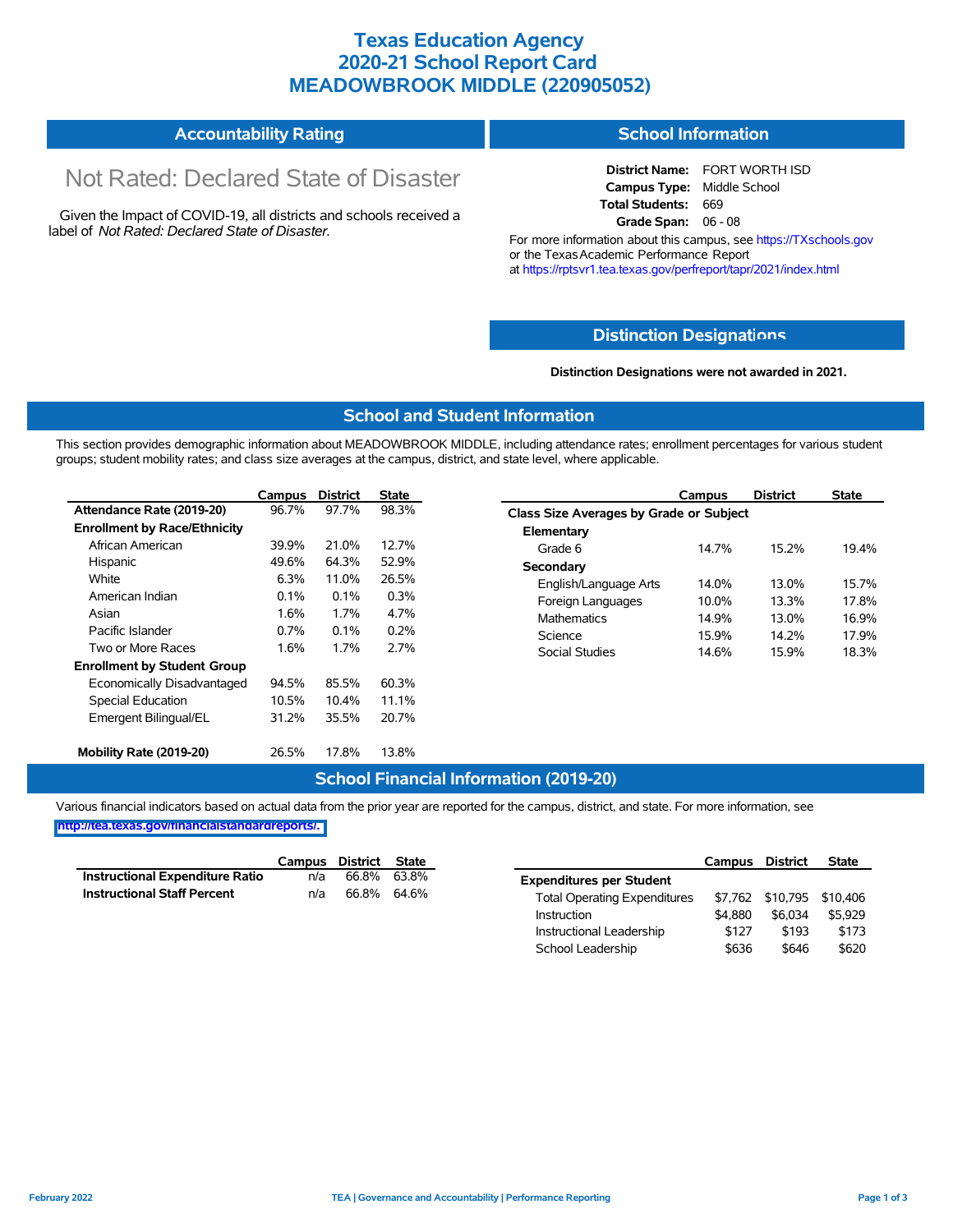### **Texas Education Agency 2020-21 School Report Card MEADOWBROOK MIDDLE (220905052)**

#### **Accountability Rating School Information**

# Not Rated: Declared State of Disaster

Given the Impact of COVID-19, all districts and schools received a label of *Not Rated: Declared State of Disaster.*

**District Name:** FORT WORTH ISD **Campus Type:** Middle School **Total Students:** 669 **Grade Span:** 06 - 08

For more information about this campus, see https://TXschools.gov or the Texas Academic Performance Report at https://rptsvr1.tea.texas.gov/perfreport/tapr/2021/index.html

#### **Distinction Designat[ions](https://TXschools.gov)**

**Distinction Designations were not awarded in 2021.**

School Leadership  $$636$  \$646 \$620

#### **School and Student Information**

This section provides demographic information about MEADOWBROOK MIDDLE, including attendance rates; enrollment percentages for various student groups; student mobility rates; and class size averages at the campus, district, and state level, where applicable.

|                                     | Campus | <b>District</b> | <b>State</b> |                       | Campus                                  | <b>District</b> | <b>State</b> |  |  |  |  |  |
|-------------------------------------|--------|-----------------|--------------|-----------------------|-----------------------------------------|-----------------|--------------|--|--|--|--|--|
| Attendance Rate (2019-20)           | 96.7%  | 97.7%           | 98.3%        |                       | Class Size Averages by Grade or Subject |                 |              |  |  |  |  |  |
| <b>Enrollment by Race/Ethnicity</b> |        |                 |              | Elementary            |                                         |                 |              |  |  |  |  |  |
| African American                    | 39.9%  | 21.0%           | 12.7%        | Grade 6               | 14.7%                                   | 15.2%           | 19.4%        |  |  |  |  |  |
| Hispanic                            | 49.6%  | 64.3%           | 52.9%        | Secondary             |                                         |                 |              |  |  |  |  |  |
| White                               | 6.3%   | 11.0%           | 26.5%        | English/Language Arts | 14.0%                                   | 13.0%           | 15.7%        |  |  |  |  |  |
| American Indian                     | 0.1%   | $0.1\%$         | 0.3%         | Foreign Languages     | 10.0%                                   | 13.3%           | 17.8%        |  |  |  |  |  |
| Asian                               | 1.6%   | 1.7%            | 4.7%         | <b>Mathematics</b>    | 14.9%<br>15.9%                          | 13.0%<br>14.2%  | 16.9%        |  |  |  |  |  |
| Pacific Islander                    | 0.7%   | 0.1%            | 0.2%         | Science               |                                         |                 | 17.9%        |  |  |  |  |  |
| Two or More Races                   | 1.6%   | 1.7%            | 2.7%         | Social Studies        | 14.6%                                   | 15.9%           | 18.3%        |  |  |  |  |  |
| <b>Enrollment by Student Group</b>  |        |                 |              |                       |                                         |                 |              |  |  |  |  |  |
| Economically Disadvantaged          | 94.5%  | 85.5%           | 60.3%        |                       |                                         |                 |              |  |  |  |  |  |
| Special Education                   | 10.5%  | $10.4\%$        | 11.1%        |                       |                                         |                 |              |  |  |  |  |  |
| Emergent Bilingual/EL               | 31.2%  | 35.5%           | 20.7%        |                       |                                         |                 |              |  |  |  |  |  |
|                                     |        |                 |              |                       |                                         |                 |              |  |  |  |  |  |
| Mobility Rate (2019-20)             | 26.5%  | 17.8%           | 13.8%        |                       |                                         |                 |              |  |  |  |  |  |

#### **School Financial Information (2019-20)**

Various financial indicators based on actual data from the prior year are reported for the campus, district, and state. For more information, see

**[http://tea.texas.gov/financialstandardreports/.](http://tea.texas.gov/financialstandardreports/)**

|                                    | Campus | District | State |                                     | Campus  | <b>District</b>           | <b>State</b> |
|------------------------------------|--------|----------|-------|-------------------------------------|---------|---------------------------|--------------|
| Instructional Expenditure Ratio    | n/a    | 66.8%    | 63.8% | <b>Expenditures per Student</b>     |         |                           |              |
| <b>Instructional Staff Percent</b> | n/a    | 66.8%    | 64.6% | <b>Total Operating Expenditures</b> |         | \$7,762 \$10,795 \$10,406 |              |
|                                    |        |          |       | Instruction                         | \$4,880 | \$6.034                   | \$5.929      |
|                                    |        |          |       | Instructional Leadership            | \$127   | \$193                     | \$173        |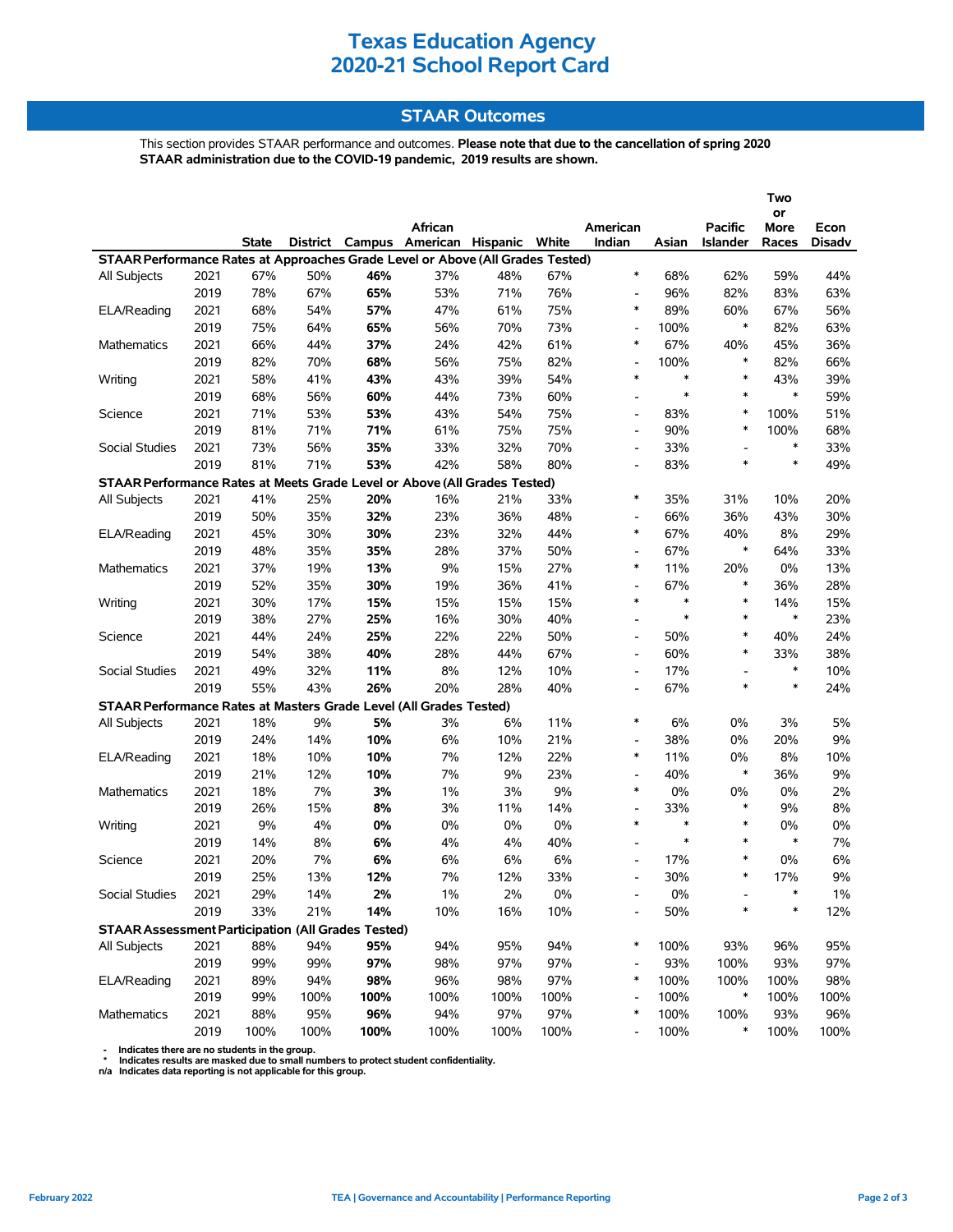## **Texas Education Agency 2020-21 School Report Card**

### **STAAR Outcomes**

This section provides STAAR performance and outcomes. **Please note that due to the cancellation of spring 2020 STAAR administration due to the COVID-19 pandemic, 2019 results are shown.**

|                                                                                |      |              |      |      |                                         |      |      |                          |        |                 | Two        |        |
|--------------------------------------------------------------------------------|------|--------------|------|------|-----------------------------------------|------|------|--------------------------|--------|-----------------|------------|--------|
|                                                                                |      |              |      |      | African                                 |      |      | American                 |        | <b>Pacific</b>  | or<br>More | Econ   |
|                                                                                |      | <b>State</b> |      |      | District Campus American Hispanic White |      |      | Indian                   | Asian  | <b>Islander</b> | Races      | Disadv |
| STAAR Performance Rates at Approaches Grade Level or Above (All Grades Tested) |      |              |      |      |                                         |      |      |                          |        |                 |            |        |
| All Subjects                                                                   | 2021 | 67%          | 50%  | 46%  | 37%                                     | 48%  | 67%  | $\ast$                   | 68%    | 62%             | 59%        | 44%    |
|                                                                                | 2019 | 78%          | 67%  | 65%  | 53%                                     | 71%  | 76%  | $\overline{\phantom{a}}$ | 96%    | 82%             | 83%        | 63%    |
| ELA/Reading                                                                    | 2021 | 68%          | 54%  | 57%  | 47%                                     | 61%  | 75%  | $\ast$                   | 89%    | 60%             | 67%        | 56%    |
|                                                                                | 2019 | 75%          | 64%  | 65%  | 56%                                     | 70%  | 73%  | $\overline{\phantom{a}}$ | 100%   | $\ast$          | 82%        | 63%    |
| <b>Mathematics</b>                                                             | 2021 | 66%          | 44%  | 37%  | 24%                                     | 42%  | 61%  | $\ast$                   | 67%    | 40%             | 45%        | 36%    |
|                                                                                | 2019 | 82%          | 70%  | 68%  | 56%                                     | 75%  | 82%  | $\overline{\phantom{a}}$ | 100%   | $\ast$          | 82%        | 66%    |
| Writing                                                                        | 2021 | 58%          | 41%  | 43%  | 43%                                     | 39%  | 54%  | $\ast$                   | $\ast$ | $\ast$          | 43%        | 39%    |
|                                                                                | 2019 | 68%          | 56%  | 60%  | 44%                                     | 73%  | 60%  | $\overline{\phantom{a}}$ | $\ast$ | $\ast$          | $\ast$     | 59%    |
| Science                                                                        | 2021 | 71%          | 53%  | 53%  | 43%                                     | 54%  | 75%  | $\overline{\phantom{a}}$ | 83%    | $\ast$          | 100%       | 51%    |
|                                                                                | 2019 | 81%          | 71%  | 71%  | 61%                                     | 75%  | 75%  | $\overline{\phantom{a}}$ | 90%    | $\ast$          | 100%       | 68%    |
| Social Studies                                                                 | 2021 | 73%          | 56%  | 35%  | 33%                                     | 32%  | 70%  | $\overline{\phantom{a}}$ | 33%    |                 | $\ast$     | 33%    |
|                                                                                | 2019 | 81%          | 71%  | 53%  | 42%                                     | 58%  | 80%  | $\overline{\phantom{a}}$ | 83%    | $\ast$          | $\ast$     | 49%    |
| STAAR Performance Rates at Meets Grade Level or Above (All Grades Tested)      |      |              |      |      |                                         |      |      |                          |        |                 |            |        |
| <b>All Subjects</b>                                                            | 2021 | 41%          | 25%  | 20%  | 16%                                     | 21%  | 33%  | $\ast$                   | 35%    | 31%             | 10%        | 20%    |
|                                                                                | 2019 | 50%          | 35%  | 32%  | 23%                                     | 36%  | 48%  | $\overline{\phantom{a}}$ | 66%    | 36%             | 43%        | 30%    |
| ELA/Reading                                                                    | 2021 | 45%          | 30%  | 30%  | 23%                                     | 32%  | 44%  | $\ast$                   | 67%    | 40%             | 8%         | 29%    |
|                                                                                | 2019 | 48%          | 35%  | 35%  | 28%                                     | 37%  | 50%  | $\overline{\phantom{a}}$ | 67%    | $\ast$          | 64%        | 33%    |
| Mathematics                                                                    | 2021 | 37%          | 19%  | 13%  | 9%                                      | 15%  | 27%  | $\ast$                   | 11%    | 20%             | 0%         | 13%    |
|                                                                                | 2019 | 52%          | 35%  | 30%  | 19%                                     | 36%  | 41%  | $\overline{\phantom{a}}$ | 67%    | $\ast$          | 36%        | 28%    |
| Writing                                                                        | 2021 | 30%          | 17%  | 15%  | 15%                                     | 15%  | 15%  | $\ast$                   | $\ast$ | $\ast$          | 14%        | 15%    |
|                                                                                | 2019 | 38%          | 27%  | 25%  | 16%                                     | 30%  | 40%  | $\overline{\phantom{a}}$ | $\ast$ | $\ast$          | $\ast$     | 23%    |
| Science                                                                        | 2021 | 44%          | 24%  | 25%  | 22%                                     | 22%  | 50%  | $\overline{\phantom{a}}$ | 50%    | $\ast$          | 40%        | 24%    |
|                                                                                | 2019 | 54%          | 38%  | 40%  | 28%                                     | 44%  | 67%  | $\overline{\phantom{a}}$ | 60%    | $\ast$          | 33%        | 38%    |
| Social Studies                                                                 | 2021 | 49%          | 32%  | 11%  | 8%                                      | 12%  | 10%  | $\overline{\phantom{a}}$ | 17%    |                 | $\ast$     | 10%    |
|                                                                                | 2019 | 55%          | 43%  | 26%  | 20%                                     | 28%  | 40%  | $\overline{\phantom{a}}$ | 67%    | $\ast$          | $\ast$     | 24%    |
| STAAR Performance Rates at Masters Grade Level (All Grades Tested)             |      |              |      |      |                                         |      |      |                          |        |                 |            |        |
| All Subjects                                                                   | 2021 | 18%          | 9%   | 5%   | 3%                                      | 6%   | 11%  | $\ast$                   | 6%     | $0\%$           | 3%         | 5%     |
|                                                                                | 2019 | 24%          | 14%  | 10%  | 6%                                      | 10%  | 21%  | $\overline{\phantom{a}}$ | 38%    | $0\%$           | 20%        | 9%     |
| ELA/Reading                                                                    | 2021 | 18%          | 10%  | 10%  | 7%                                      | 12%  | 22%  | $\ast$                   | 11%    | 0%              | 8%         | 10%    |
|                                                                                | 2019 | 21%          | 12%  | 10%  | 7%                                      | 9%   | 23%  | $\overline{\phantom{a}}$ | 40%    | $\ast$          | 36%        | 9%     |
| <b>Mathematics</b>                                                             | 2021 | 18%          | 7%   | 3%   | $1\%$                                   | 3%   | 9%   | $\ast$                   | 0%     | 0%              | 0%         | 2%     |
|                                                                                | 2019 | 26%          | 15%  | 8%   | 3%                                      | 11%  | 14%  | $\overline{\phantom{a}}$ | 33%    | $\ast$          | 9%         | 8%     |
| Writing                                                                        | 2021 | 9%           | 4%   | 0%   | $0\%$                                   | 0%   | 0%   | $\ast$                   | $\ast$ | $\ast$          | 0%         | $0\%$  |
|                                                                                | 2019 | 14%          | 8%   | 6%   | 4%                                      | 4%   | 40%  | $\overline{a}$           | $\ast$ | $\ast$          | $\ast$     | 7%     |
| Science                                                                        | 2021 | 20%          | 7%   | 6%   | 6%                                      | 6%   | 6%   | $\overline{\phantom{a}}$ | 17%    | $\ast$          | 0%         | 6%     |
|                                                                                | 2019 | 25%          | 13%  | 12%  | 7%                                      | 12%  | 33%  |                          | 30%    | $\ast$          | 17%        | 9%     |
| Social Studies                                                                 | 2021 | 29%          | 14%  | 2%   | $1\%$                                   | 2%   | 0%   |                          | 0%     |                 | $\ast$     | 1%     |
|                                                                                | 2019 | 33%          | 21%  | 14%  | 10%                                     | 16%  | 10%  |                          | 50%    | $\ast$          | $\ast$     | 12%    |
| <b>STAAR Assessment Participation (All Grades Tested)</b>                      |      |              |      |      |                                         |      |      |                          |        |                 |            |        |
| All Subjects                                                                   | 2021 | 88%          | 94%  | 95%  | 94%                                     | 95%  | 94%  | $\ast$                   | 100%   | 93%             | 96%        | 95%    |
|                                                                                | 2019 | 99%          | 99%  | 97%  | 98%                                     | 97%  | 97%  |                          | 93%    | 100%            | 93%        | 97%    |
| ELA/Reading                                                                    | 2021 | 89%          | 94%  | 98%  | 96%                                     | 98%  | 97%  | $\ast$                   | 100%   | 100%            | 100%       | 98%    |
|                                                                                | 2019 | 99%          | 100% | 100% | 100%                                    | 100% | 100% |                          | 100%   | $\ast$          | 100%       | 100%   |
| Mathematics                                                                    | 2021 | 88%          | 95%  | 96%  | 94%                                     | 97%  | 97%  | $\ast$                   | 100%   | 100%            | 93%        | 96%    |
|                                                                                | 2019 | 100%         | 100% | 100% | 100%                                    | 100% | 100% | $\overline{\phantom{a}}$ | 100%   | $\ast$          | 100%       | 100%   |

- Indicates there are no students in the group.<br>\* Indicates results are masked due to small numbers to protect student confidentiality.<br>n/a Indicates data reporting is not applicable for this group.